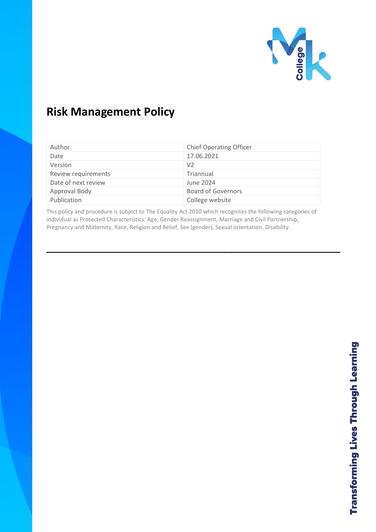

# **Risk Management Policy**

| Author              | <b>Chief Operating Officer</b> |
|---------------------|--------------------------------|
| Date                | 17.06.2021                     |
| Version             | V <sub>2</sub>                 |
| Review requirements | Triannual                      |
| Date of next review | June 2024                      |
| Approval Body       | <b>Board of Governors</b>      |
| Publication         | College website                |

This policy and procedure is subject to The Equality Act 2010 which recognises the following categories of individual as Protected Characteristics: Age, Gender Reassignment, Marriage and Civil Partnership, Pregnancy and Maternity, Race, Religion and Belief, Sex (gender), Sexual orientation, Disability.

 $\frac{1}{2}$  ,  $\frac{1}{2}$  ,  $\frac{1}{2}$  ,  $\frac{1}{2}$  ,  $\frac{1}{2}$  ,  $\frac{1}{2}$  ,  $\frac{1}{2}$  ,  $\frac{1}{2}$  ,  $\frac{1}{2}$  ,  $\frac{1}{2}$  ,  $\frac{1}{2}$  ,  $\frac{1}{2}$  ,  $\frac{1}{2}$  ,  $\frac{1}{2}$  ,  $\frac{1}{2}$  ,  $\frac{1}{2}$  ,  $\frac{1}{2}$  ,  $\frac{1}{2}$  ,  $\frac{1$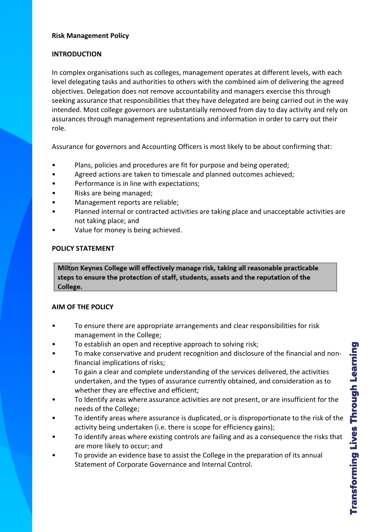### **Risk Management Policy**

#### **INTRODUCTION**

In complex organisations such as colleges, management operates at different levels, with each level delegating tasks and authorities to others with the combined aim of delivering the agreed objectives. Delegation does not remove accountability and managers exercise this through seeking assurance that responsibilities that they have delegated are being carried out in the way intended. Most college governors are substantially removed from day to day activity and rely on assurances through management representations and information in order to carry out their role.

Assurance for governors and Accounting Officers is most likely to be about confirming that:

- Plans, policies and procedures are fit for purpose and being operated;
- Agreed actions are taken to timescale and planned outcomes achieved;
- Performance is in line with expectations;
- Risks are being managed;
- Management reports are reliable;
- Planned internal or contracted activities are taking place and unacceptable activities are not taking place; and
- Value for money is being achieved.

## **POLICY STATEMENT**

Milton Keynes College will effectively manage risk, taking all reasonable practicable steps to ensure the protection of staff, students, assets and the reputation of the College.

## **AIM OF THE POLICY**

- To ensure there are appropriate arrangements and clear responsibilities for risk management in the College;
- To establish an open and receptive approach to solving risk;
- To make conservative and prudent recognition and disclosure of the financial and nonfinancial implications of risks;
- To gain a clear and complete understanding of the services delivered, the activities undertaken, and the types of assurance currently obtained, and consideration as to whether they are effective and efficient;
- To Identify areas where assurance activities are not present, or are insufficient for the needs of the College;
- To identify areas where assurance is duplicated, or is disproportionate to the risk of the activity being undertaken (i.e. there is scope for efficiency gains);
- To identify areas where existing controls are failing and as a consequence the risks that are more likely to occur; and
- To provide an evidence base to assist the College in the preparation of its annual Statement of Corporate Governance and Internal Control.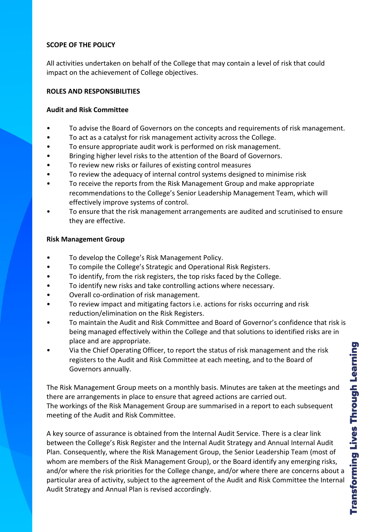# **SCOPE OF THE POLICY**

All activities undertaken on behalf of the College that may contain a level of risk that could impact on the achievement of College objectives.

## **ROLES AND RESPONSIBILITIES**

# **Audit and Risk Committee**

- To advise the Board of Governors on the concepts and requirements of risk management.
- To act as a catalyst for risk management activity across the College.
- To ensure appropriate audit work is performed on risk management.
- Bringing higher level risks to the attention of the Board of Governors.
- To review new risks or failures of existing control measures
- To review the adequacy of internal control systems designed to minimise risk
- To receive the reports from the Risk Management Group and make appropriate recommendations to the College's Senior Leadership Management Team, which will effectively improve systems of control.
- To ensure that the risk management arrangements are audited and scrutinised to ensure they are effective.

# **Risk Management Group**

- To develop the College's Risk Management Policy.
- To compile the College's Strategic and Operational Risk Registers.
- To identify, from the risk registers, the top risks faced by the College.
- To identify new risks and take controlling actions where necessary.
- Overall co-ordination of risk management.
- To review impact and mitigating factors i.e. actions for risks occurring and risk reduction/elimination on the Risk Registers.
- To maintain the Audit and Risk Committee and Board of Governor's confidence that risk is being managed effectively within the College and that solutions to identified risks are in place and are appropriate.
- Via the Chief Operating Officer, to report the status of risk management and the risk registers to the Audit and Risk Committee at each meeting, and to the Board of Governors annually.

The Risk Management Group meets on a monthly basis. Minutes are taken at the meetings and there are arrangements in place to ensure that agreed actions are carried out. The workings of the Risk Management Group are summarised in a report to each subsequent meeting of the Audit and Risk Committee.

A key source of assurance is obtained from the Internal Audit Service. There is a clear link between the College's Risk Register and the Internal Audit Strategy and Annual Internal Audit Plan. Consequently, where the Risk Management Group, the Senior Leadership Team (most of whom are members of the Risk Management Group), or the Board identify any emerging risks, and/or where the risk priorities for the College change, and/or where there are concerns about a particular area of activity, subject to the agreement of the Audit and Risk Committee the Internal Audit Strategy and Annual Plan is revised accordingly.